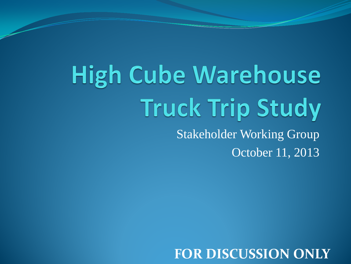# **High Cube Warehouse Truck Trip Study** Stakeholder Working Group

October 11, 2013

**FOR DISCUSSION ONLY**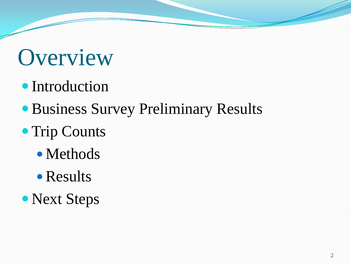## **Overview**

- Introduction
- Business Survey Preliminary Results
- Trip Counts
	- Methods
	- Results
- Next Steps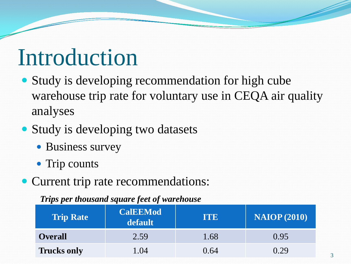#### Introduction

- Study is developing recommendation for high cube warehouse trip rate for voluntary use in CEQA air quality analyses
- Study is developing two datasets
	- Business survey
	- Trip counts
- Current trip rate recommendations:

#### *Trips per thousand square feet of warehouse*

| <b>Trip Rate</b>   | <b>CalEEMod</b><br>default | <b>TTE</b> | <b>NAIOP</b> (2010) |  |  |
|--------------------|----------------------------|------------|---------------------|--|--|
| <b>Overall</b>     | 2.59                       | 1.68       | 0.95                |  |  |
| <b>Trucks only</b> | 1.04                       | 0.64       | 0.29                |  |  |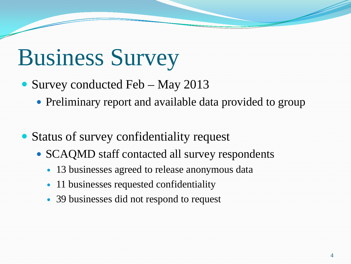# Business Survey

- Survey conducted Feb May 2013
	- Preliminary report and available data provided to group
- Status of survey confidentiality request
	- SCAQMD staff contacted all survey respondents
		- 13 businesses agreed to release anonymous data
		- 11 businesses requested confidentiality
		- 39 businesses did not respond to request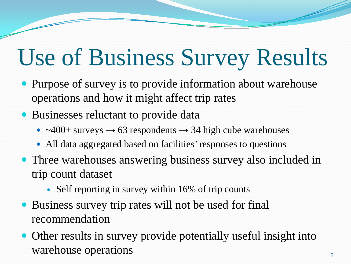# Use of Business Survey Results

- Purpose of survey is to provide information about warehouse operations and how it might affect trip rates
- Businesses reluctant to provide data
	- ~400+ surveys **→** 63 respondents **→** 34 high cube warehouses
	- All data aggregated based on facilities' responses to questions
- Three warehouses answering business survey also included in trip count dataset
	- Self reporting in survey within 16% of trip counts
- Business survey trip rates will not be used for final recommendation
- Other results in survey provide potentially useful insight into warehouse operations 5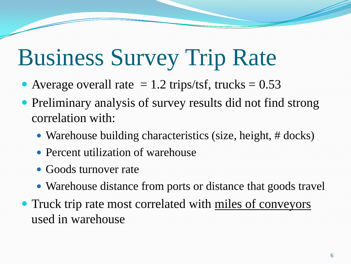# Business Survey Trip Rate

- Average overall rate  $= 1.2$  trips/tsf, trucks  $= 0.53$
- Preliminary analysis of survey results did not find strong correlation with:
	- Warehouse building characteristics (size, height, # docks)
	- Percent utilization of warehouse
	- Goods turnover rate
	- Warehouse distance from ports or distance that goods travel
- Truck trip rate most correlated with miles of conveyors used in warehouse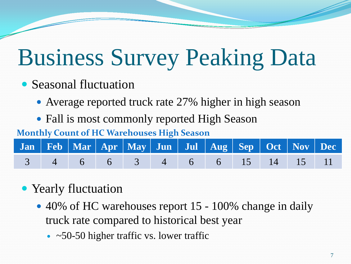# Business Survey Peaking Data

- Seasonal fluctuation
	- Average reported truck rate 27% higher in high season
	- Fall is most commonly reported High Season

#### **Monthly Count of HC Warehouses High Season**

|  | 3 4 6 6 3 4 6 6 15 14 15 11 |  |  |  |  |  |
|--|-----------------------------|--|--|--|--|--|

#### • Yearly fluctuation

- 40% of HC warehouses report 15 100% change in daily truck rate compared to historical best year
	- $\sim$   $\approx$  50-50 higher traffic vs. lower traffic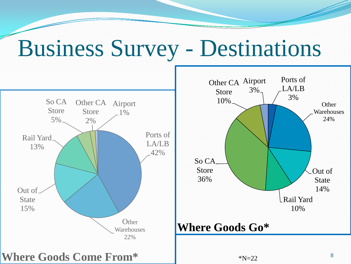### Business Survey - Destinations

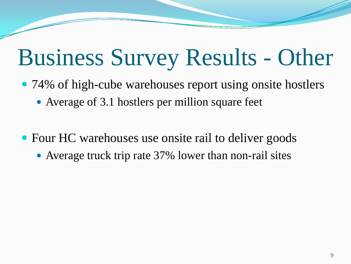## Business Survey Results - Other

- 74% of high-cube warehouses report using onsite hostlers
	- Average of 3.1 hostlers per million square feet
- Four HC warehouses use onsite rail to deliver goods
	- Average truck trip rate 37% lower than non-rail sites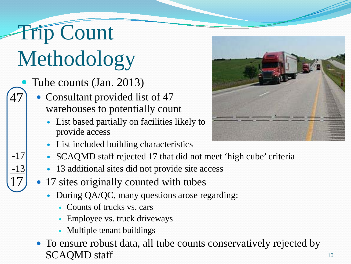### Trip Count Methodology

47

-17

-13

17

- Tube counts (Jan. 2013)
	- Consultant provided list of 47 warehouses to potentially count
		- List based partially on facilities likely to provide access
		- List included building characteristics
		- SCAQMD staff rejected 17 that did not meet 'high cube' criteria
		- 13 additional sites did not provide site access
	- 17 sites originally counted with tubes
		- During QA/QC, many questions arose regarding:
			- Counts of trucks vs. cars
			- Employee vs. truck driveways
			- Multiple tenant buildings
	- To ensure robust data, all tube counts conservatively rejected by SCAQMD staff

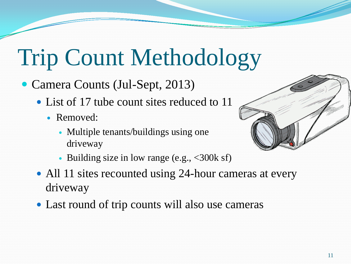# Trip Count Methodology

- Camera Counts (Jul-Sept, 2013)
	- List of 17 tube count sites reduced to 11
		- Removed:
			- Multiple tenants/buildings using one driveway
- 
- Building size in low range (e.g., <300k sf)
- All 11 sites recounted using 24-hour cameras at every driveway
- Last round of trip counts will also use cameras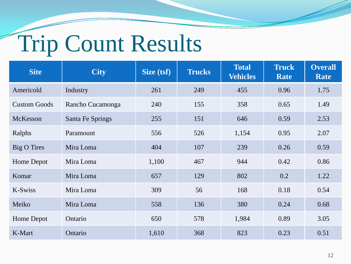# Trip Count Results

| <b>Site</b>         | <b>City</b>      | Size (tsf) | <b>Trucks</b> | <b>Total</b><br><b>Vehicles</b> | <b>Truck</b><br><b>Rate</b> | <b>Overall</b><br>Rate |
|---------------------|------------------|------------|---------------|---------------------------------|-----------------------------|------------------------|
| Americold           | Industry         | 261        | 249           | 455                             | 0.96                        | 1.75                   |
| <b>Custom Goods</b> | Rancho Cucamonga | 240        | 155           | 358                             | 0.65                        | 1.49                   |
| McKesson            | Santa Fe Springs | 255        | 151           | 646                             | 0.59                        | 2.53                   |
| Ralphs              | Paramount        | 556        | 526           | 1,154                           | 0.95                        | 2.07                   |
| Big O Tires         | Mira Loma        | 404        | 107           | 239                             | 0.26                        | 0.59                   |
| Home Depot          | Mira Loma        | 1,100      | 467           | 944                             | 0.42                        | 0.86                   |
| Komar               | Mira Loma        | 657        | 129           | 802                             | 0.2                         | 1.22                   |
| K-Swiss             | Mira Loma        | 309        | 56            | 168                             | 0.18                        | 0.54                   |
| Meiko               | Mira Loma        | 558        | 136           | 380                             | 0.24                        | 0.68                   |
| Home Depot          | Ontario          | 650        | 578           | 1,984                           | 0.89                        | 3.05                   |
| K-Mart              | Ontario          | 1,610      | 368           | 823                             | 0.23                        | 0.51                   |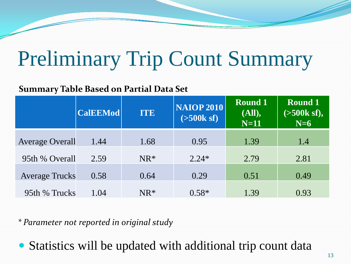## Preliminary Trip Count Summary

#### **Summary Table Based on Partial Data Set**

|                        | <b>CalEEMod</b> | <b>ITE</b> | <b>NAIOP 2010</b><br>$($ >500 $k$ sf) | <b>Round 1</b><br>(All),<br>$N=11$ | <b>Round 1</b><br>$( >500k \text{ sf}),$<br>$N=6$ |  |
|------------------------|-----------------|------------|---------------------------------------|------------------------------------|---------------------------------------------------|--|
| <b>Average Overall</b> | 1.44            | 1.68       | 0.95                                  | 1.39                               | 1.4                                               |  |
| 95th % Overall         | 2.59            | $NR^*$     | $2.24*$                               | 2.79                               | 2.81                                              |  |
| <b>Average Trucks</b>  | 0.58            | 0.64       | 0.29                                  | 0.51                               | 0.49                                              |  |
|                        |                 |            |                                       |                                    |                                                   |  |
| 95th % Trucks          | 1.04            | $NR^*$     | $0.58*$                               | 1.39                               | 0.93                                              |  |

*\* Parameter not reported in original study*

Statistics will be updated with additional trip count data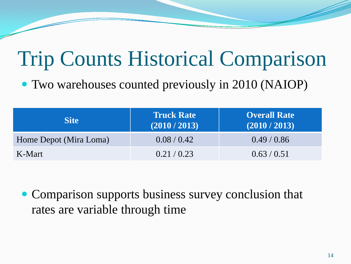## Trip Counts Historical Comparison

Two warehouses counted previously in 2010 (NAIOP)

| <b>Site</b>            | <b>Truck Rate</b><br>(2010 / 2013) | <b>Overall Rate</b><br>(2010 / 2013) |  |  |
|------------------------|------------------------------------|--------------------------------------|--|--|
| Home Depot (Mira Loma) | 0.08/0.42                          | 0.49/0.86                            |  |  |
| K-Mart                 | 0.21/0.23                          | 0.63/0.51                            |  |  |

• Comparison supports business survey conclusion that rates are variable through time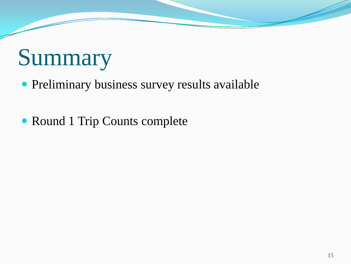# Summary

• Preliminary business survey results available

Round 1 Trip Counts complete